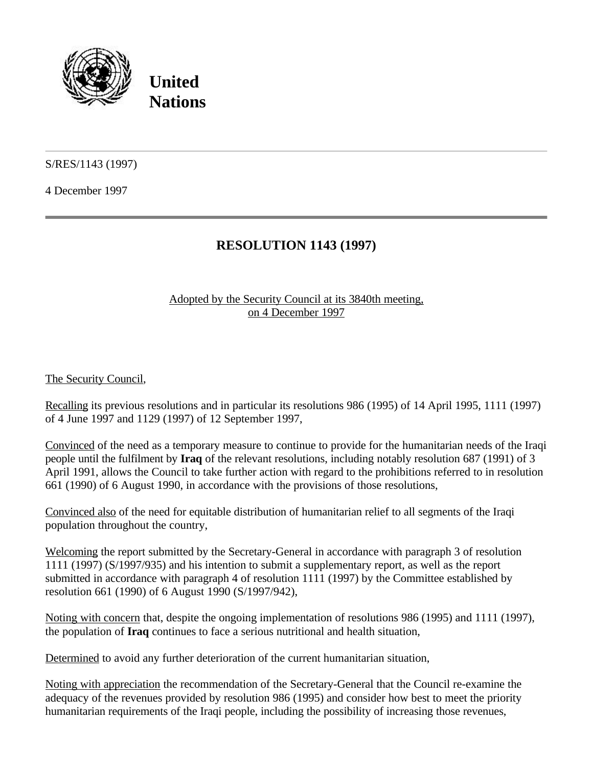

**United Nations**

S/RES/1143 (1997)

4 December 1997

## **RESOLUTION 1143 (1997)**

## Adopted by the Security Council at its 3840th meeting, on 4 December 1997

The Security Council,

Recalling its previous resolutions and in particular its resolutions 986 (1995) of 14 April 1995, 1111 (1997) of 4 June 1997 and 1129 (1997) of 12 September 1997,

Convinced of the need as a temporary measure to continue to provide for the humanitarian needs of the Iraqi people until the fulfilment by **Iraq** of the relevant resolutions, including notably resolution 687 (1991) of 3 April 1991, allows the Council to take further action with regard to the prohibitions referred to in resolution 661 (1990) of 6 August 1990, in accordance with the provisions of those resolutions,

Convinced also of the need for equitable distribution of humanitarian relief to all segments of the Iraqi population throughout the country,

Welcoming the report submitted by the Secretary-General in accordance with paragraph 3 of resolution 1111 (1997) (S/1997/935) and his intention to submit a supplementary report, as well as the report submitted in accordance with paragraph 4 of resolution 1111 (1997) by the Committee established by resolution 661 (1990) of 6 August 1990 (S/1997/942),

Noting with concern that, despite the ongoing implementation of resolutions 986 (1995) and 1111 (1997), the population of **Iraq** continues to face a serious nutritional and health situation,

Determined to avoid any further deterioration of the current humanitarian situation,

Noting with appreciation the recommendation of the Secretary-General that the Council re-examine the adequacy of the revenues provided by resolution 986 (1995) and consider how best to meet the priority humanitarian requirements of the Iraqi people, including the possibility of increasing those revenues,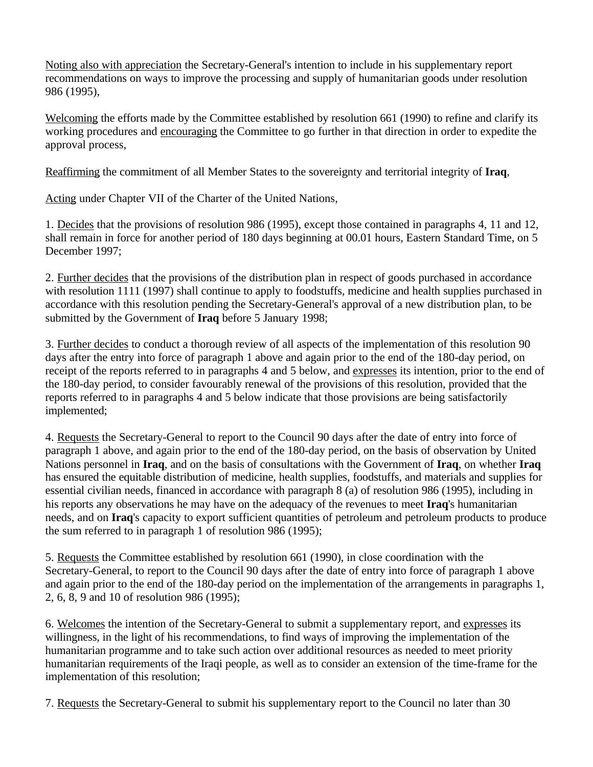Noting also with appreciation the Secretary-General's intention to include in his supplementary report recommendations on ways to improve the processing and supply of humanitarian goods under resolution 986 (1995),

Welcoming the efforts made by the Committee established by resolution 661 (1990) to refine and clarify its working procedures and encouraging the Committee to go further in that direction in order to expedite the approval process,

Reaffirming the commitment of all Member States to the sovereignty and territorial integrity of **Iraq**,

Acting under Chapter VII of the Charter of the United Nations,

1. Decides that the provisions of resolution 986 (1995), except those contained in paragraphs 4, 11 and 12, shall remain in force for another period of 180 days beginning at 00.01 hours, Eastern Standard Time, on 5 December 1997;

2. Further decides that the provisions of the distribution plan in respect of goods purchased in accordance with resolution 1111 (1997) shall continue to apply to foodstuffs, medicine and health supplies purchased in accordance with this resolution pending the Secretary-General's approval of a new distribution plan, to be submitted by the Government of **Iraq** before 5 January 1998;

3. Further decides to conduct a thorough review of all aspects of the implementation of this resolution 90 days after the entry into force of paragraph 1 above and again prior to the end of the 180-day period, on receipt of the reports referred to in paragraphs 4 and 5 below, and expresses its intention, prior to the end of the 180-day period, to consider favourably renewal of the provisions of this resolution, provided that the reports referred to in paragraphs 4 and 5 below indicate that those provisions are being satisfactorily implemented;

4. Requests the Secretary-General to report to the Council 90 days after the date of entry into force of paragraph 1 above, and again prior to the end of the 180-day period, on the basis of observation by United Nations personnel in **Iraq**, and on the basis of consultations with the Government of **Iraq**, on whether **Iraq** has ensured the equitable distribution of medicine, health supplies, foodstuffs, and materials and supplies for essential civilian needs, financed in accordance with paragraph 8 (a) of resolution 986 (1995), including in his reports any observations he may have on the adequacy of the revenues to meet **Iraq**'s humanitarian needs, and on **Iraq**'s capacity to export sufficient quantities of petroleum and petroleum products to produce the sum referred to in paragraph 1 of resolution 986 (1995);

5. Requests the Committee established by resolution 661 (1990), in close coordination with the Secretary-General, to report to the Council 90 days after the date of entry into force of paragraph 1 above and again prior to the end of the 180-day period on the implementation of the arrangements in paragraphs 1, 2, 6, 8, 9 and 10 of resolution 986 (1995);

6. Welcomes the intention of the Secretary-General to submit a supplementary report, and expresses its willingness, in the light of his recommendations, to find ways of improving the implementation of the humanitarian programme and to take such action over additional resources as needed to meet priority humanitarian requirements of the Iraqi people, as well as to consider an extension of the time-frame for the implementation of this resolution;

7. Requests the Secretary-General to submit his supplementary report to the Council no later than 30